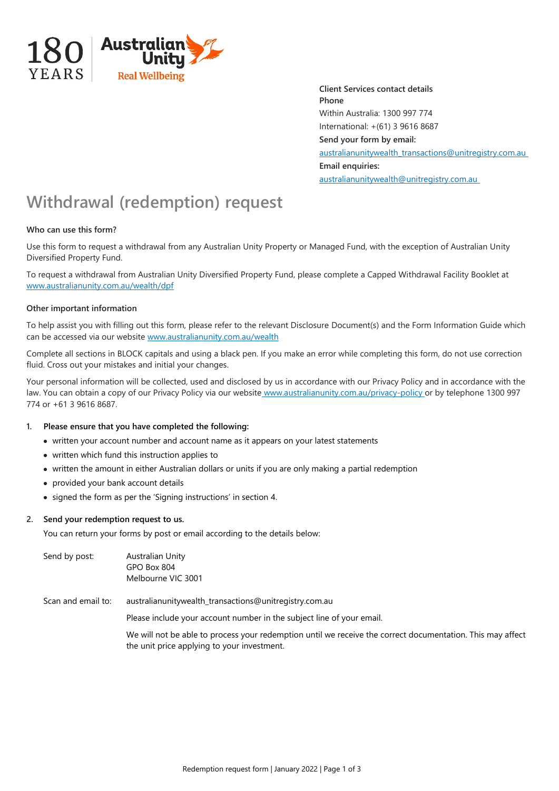

**Client Services contact details Phone** Within Australia: 1300 997 774 International: +(61) 3 9616 8687 **Send your form by email:**  australianunitywealth\_transactions@unitregistry.com.au **Email enquiries:** australianunitywealth@unitregistry.com.au

# **Withdrawal (redemption) request**

# **Who can use this form?**

Use this form to request a withdrawal from any Australian Unity Property or Managed Fund, with the exception of Australian Unity Diversified Property Fund.

To request a withdrawal from Australian Unity Diversified Property Fund, please complete a Capped Withdrawal Facility Booklet at www.australianunity.com.au/wealth/dpf

#### **Other important information**

To help assist you with filling out this form, please refer to the relevant Disclosure Document(s) and the Form Information Guide which can be accessed via our website www.australianunity.com.au/wealth

Complete all sections in BLOCK capitals and using a black pen. If you make an error while completing this form, do not use correction fluid. Cross out your mistakes and initial your changes.

Your personal information will be collected, used and disclosed by us in accordance with our Privacy Policy and in accordance with the law. You can obtain a copy of our Privacy Policy via our website www.australianunity.com.au/privacy-policy or by telephone 1300 997 774 or +61 3 9616 8687.

#### **1. Please ensure that you have completed the following:**

- written your account number and account name as it appears on your latest statements
- written which fund this instruction applies to
- written the amount in either Australian dollars or units if you are only making a partial redemption
- provided your bank account details
- signed the form as per the 'Signing instructions' in section 4.

#### **2. Send your redemption request to us.**

You can return your forms by post or email according to the details below:

| Send by post:      | Australian Unity<br>GPO Box 804<br>Melbourne VIC 3001                                                                                                     |
|--------------------|-----------------------------------------------------------------------------------------------------------------------------------------------------------|
| Scan and email to: | australianunitywealth_transactions@unitregistry.com.au                                                                                                    |
|                    | Please include your account number in the subject line of your email.                                                                                     |
|                    | We will not be able to process your redemption until we receive the correct documentation. This may affect<br>the unit price applying to your investment. |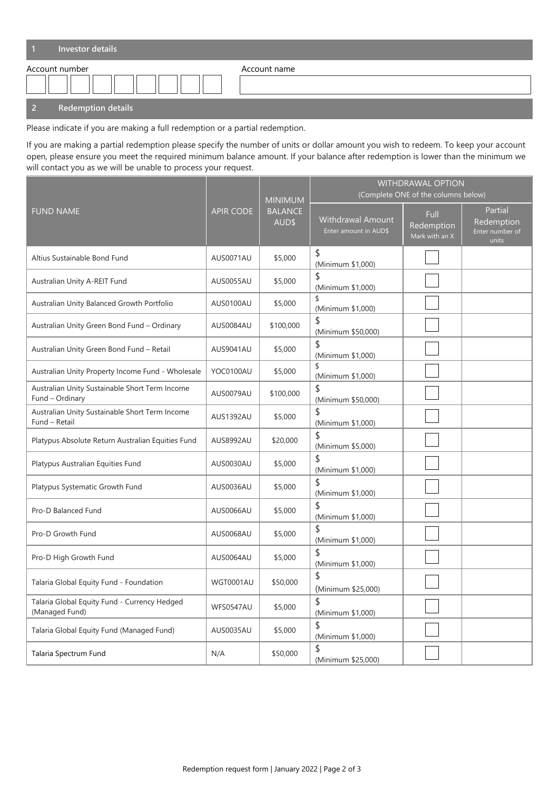| Investor details          |              |
|---------------------------|--------------|
| Account number            | Account name |
| <b>Redemption details</b> |              |

Please indicate if you are making a full redemption or a partial redemption.

If you are making a partial redemption please specify the number of units or dollar amount you wish to redeem. To keep your account open, please ensure you meet the required minimum balance amount. If your balance after redemption is lower than the minimum we will contact you as we will be unable to process your request.

|                                                                   | <b>APIR CODE</b> | <b>MINIMUM</b><br><b>BALANCE</b><br>AUD\$ | WITHDRAWAL OPTION<br>(Complete ONE of the columns below) |                                      |                                                   |
|-------------------------------------------------------------------|------------------|-------------------------------------------|----------------------------------------------------------|--------------------------------------|---------------------------------------------------|
| <b>FUND NAME</b>                                                  |                  |                                           | Withdrawal Amount<br>Enter amount in AUD\$               | Full<br>Redemption<br>Mark with an X | Partial<br>Redemption<br>Enter number of<br>units |
| Altius Sustainable Bond Fund                                      | AUS0071AU        | \$5,000                                   | \$<br>(Minimum \$1,000)                                  |                                      |                                                   |
| Australian Unity A-REIT Fund                                      | AUS0055AU        | \$5,000                                   | \$<br>(Minimum \$1,000)                                  |                                      |                                                   |
| Australian Unity Balanced Growth Portfolio                        | AUS0100AU        | \$5,000                                   | \$<br>(Minimum \$1,000)                                  |                                      |                                                   |
| Australian Unity Green Bond Fund - Ordinary                       | AUS0084AU        | \$100,000                                 | \$<br>(Minimum \$50,000)                                 |                                      |                                                   |
| Australian Unity Green Bond Fund - Retail                         | <b>AUS9041AU</b> | \$5,000                                   | \$<br>(Minimum \$1,000)                                  |                                      |                                                   |
| Australian Unity Property Income Fund - Wholesale                 | YOC0100AU        | \$5,000                                   | \$<br>(Minimum \$1,000)                                  |                                      |                                                   |
| Australian Unity Sustainable Short Term Income<br>Fund - Ordinary | AUS0079AU        | \$100,000                                 | \$<br>(Minimum \$50,000)                                 |                                      |                                                   |
| Australian Unity Sustainable Short Term Income<br>Fund - Retail   | AUS1392AU        | \$5,000                                   | \$<br>(Minimum \$1,000)                                  |                                      |                                                   |
| Platypus Absolute Return Australian Equities Fund                 | AUS8992AU        | \$20,000                                  | \$<br>(Minimum \$5,000)                                  |                                      |                                                   |
| Platypus Australian Equities Fund                                 | AUS0030AU        | \$5,000                                   | \$<br>(Minimum \$1,000)                                  |                                      |                                                   |
| Platypus Systematic Growth Fund                                   | AUS0036AU        | \$5,000                                   | \$<br>(Minimum \$1,000)                                  |                                      |                                                   |
| Pro-D Balanced Fund                                               | AUS0066AU        | \$5,000                                   | \$<br>(Minimum \$1,000)                                  |                                      |                                                   |
| Pro-D Growth Fund                                                 | AUS0068AU        | \$5,000                                   | \$<br>(Minimum \$1,000)                                  |                                      |                                                   |
| Pro-D High Growth Fund                                            | AUS0064AU        | \$5,000                                   | \$<br>(Minimum \$1,000)                                  |                                      |                                                   |
| Talaria Global Equity Fund - Foundation                           | WGT0001AU        | \$50,000                                  | \$<br>(Minimum \$25,000)                                 |                                      |                                                   |
| Talaria Global Equity Fund - Currency Hedged<br>(Managed Fund)    | WFS0547AU        | \$5,000                                   | \$<br>(Minimum \$1,000)                                  |                                      |                                                   |
| Talaria Global Equity Fund (Managed Fund)                         | AUS0035AU        | \$5,000                                   | $\overline{z}$<br>(Minimum \$1,000)                      |                                      |                                                   |
| Talaria Spectrum Fund                                             | N/A              | \$50,000                                  | \$<br>(Minimum \$25,000)                                 |                                      |                                                   |